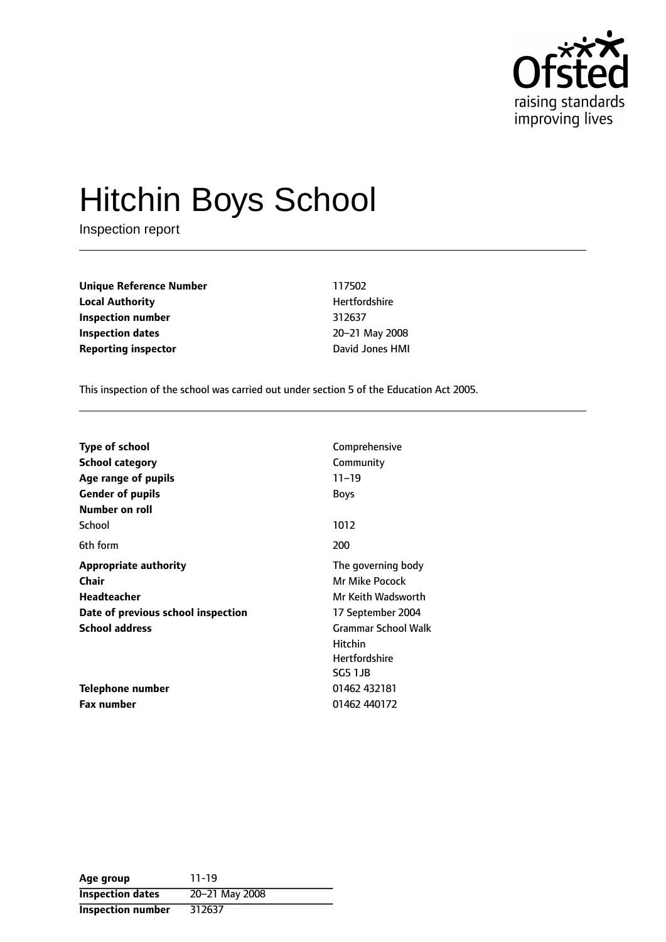

# Hitchin Boys School

Inspection report

**Unique Reference Number** 117502 **Local Authority Material Authority Hertfordshire Inspection number** 312637 **Inspection dates** 20-21 May 2008 **Reporting inspector David Jones HMI** 

This inspection of the school was carried out under section 5 of the Education Act 2005.

| <b>Type of school</b><br><b>School category</b><br>Age range of pupils<br><b>Gender of pupils</b> | Comprehensive<br>Community<br>$11 - 19$<br><b>Boys</b>                   |
|---------------------------------------------------------------------------------------------------|--------------------------------------------------------------------------|
| Number on roll                                                                                    |                                                                          |
| School                                                                                            | 1012                                                                     |
| 6th form                                                                                          | 200                                                                      |
| <b>Appropriate authority</b>                                                                      | The governing body                                                       |
| Chair                                                                                             | Mr Mike Pocock                                                           |
| Headteacher                                                                                       | Mr Keith Wadsworth                                                       |
| Date of previous school inspection                                                                | 17 September 2004                                                        |
| <b>School address</b>                                                                             | <b>Grammar School Walk</b><br>Hitchin<br><b>Hertfordshire</b><br>SG5 1JB |
| Telephone number                                                                                  | 01462 432181                                                             |
| <b>Fax number</b>                                                                                 | 01462 440172                                                             |

| Age group                | $11 - 19$      |
|--------------------------|----------------|
| <b>Inspection dates</b>  | 20-21 May 2008 |
| <b>Inspection number</b> | 312637         |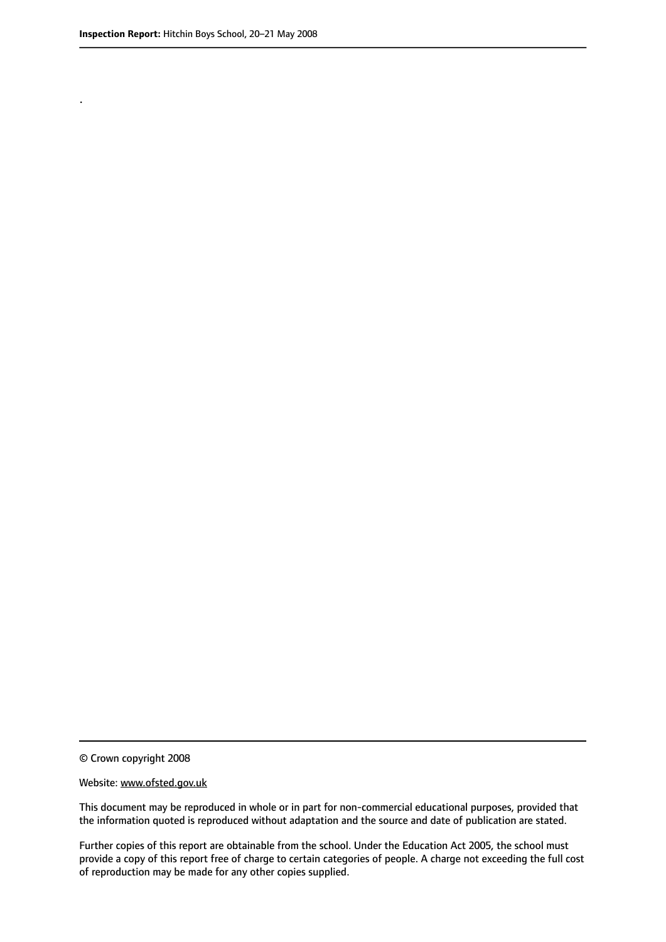.

© Crown copyright 2008

#### Website: www.ofsted.gov.uk

This document may be reproduced in whole or in part for non-commercial educational purposes, provided that the information quoted is reproduced without adaptation and the source and date of publication are stated.

Further copies of this report are obtainable from the school. Under the Education Act 2005, the school must provide a copy of this report free of charge to certain categories of people. A charge not exceeding the full cost of reproduction may be made for any other copies supplied.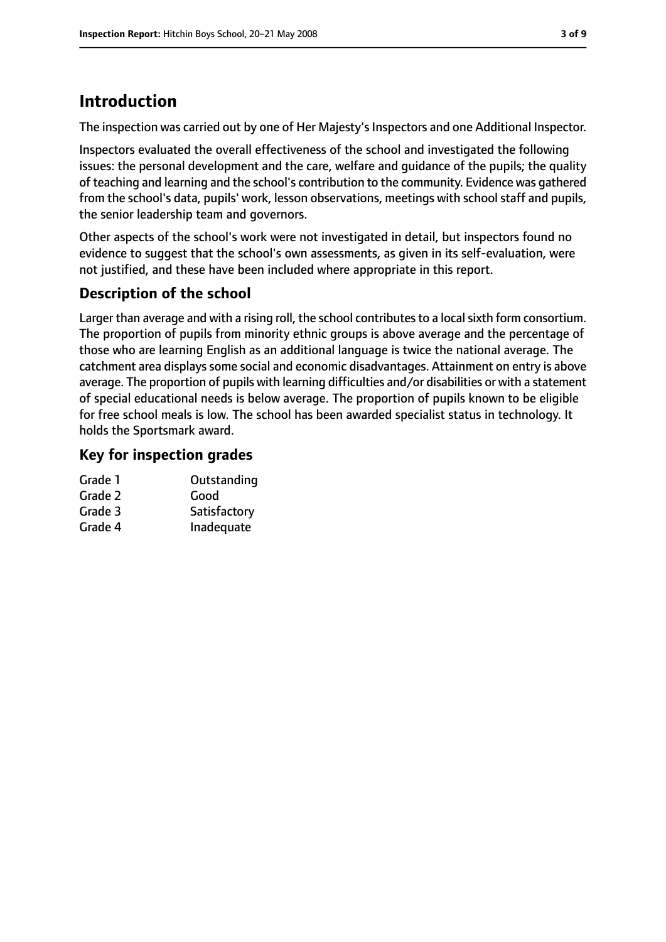# **Introduction**

The inspection was carried out by one of Her Majesty's Inspectors and one Additional Inspector.

Inspectors evaluated the overall effectiveness of the school and investigated the following issues: the personal development and the care, welfare and guidance of the pupils; the quality of teaching and learning and the school's contribution to the community. Evidence was gathered from the school's data, pupils' work, lesson observations, meetings with school staff and pupils, the senior leadership team and governors.

Other aspects of the school's work were not investigated in detail, but inspectors found no evidence to suggest that the school's own assessments, as given in its self-evaluation, were not justified, and these have been included where appropriate in this report.

## **Description of the school**

Larger than average and with a rising roll, the school contributes to a local sixth form consortium. The proportion of pupils from minority ethnic groups is above average and the percentage of those who are learning English as an additional language is twice the national average. The catchment area displays some social and economic disadvantages. Attainment on entry is above average. The proportion of pupils with learning difficulties and/or disabilities or with a statement of special educational needs is below average. The proportion of pupils known to be eligible for free school meals is low. The school has been awarded specialist status in technology. It holds the Sportsmark award.

## **Key for inspection grades**

| Grade 1 | Outstanding  |
|---------|--------------|
| Grade 2 | Good         |
| Grade 3 | Satisfactory |
| Grade 4 | Inadequate   |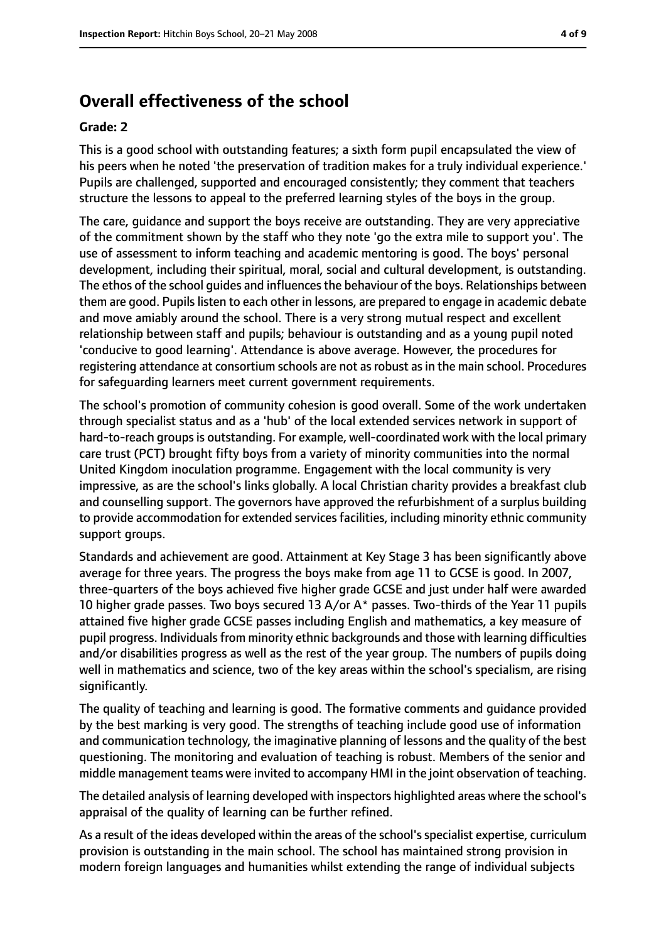## **Overall effectiveness of the school**

#### **Grade: 2**

This is a good school with outstanding features; a sixth form pupil encapsulated the view of his peers when he noted 'the preservation of tradition makes for a truly individual experience.' Pupils are challenged, supported and encouraged consistently; they comment that teachers structure the lessons to appeal to the preferred learning styles of the boys in the group.

The care, guidance and support the boys receive are outstanding. They are very appreciative of the commitment shown by the staff who they note 'go the extra mile to support you'. The use of assessment to inform teaching and academic mentoring is good. The boys' personal development, including their spiritual, moral, social and cultural development, is outstanding. The ethos of the school guides and influences the behaviour of the boys. Relationships between them are good. Pupilslisten to each other in lessons, are prepared to engage in academic debate and move amiably around the school. There is a very strong mutual respect and excellent relationship between staff and pupils; behaviour is outstanding and as a young pupil noted 'conducive to good learning'. Attendance is above average. However, the procedures for registering attendance at consortium schools are not asrobust asin the main school. Procedures for safeguarding learners meet current government requirements.

The school's promotion of community cohesion is good overall. Some of the work undertaken through specialist status and as a 'hub' of the local extended services network in support of hard-to-reach groups is outstanding. For example, well-coordinated work with the local primary care trust (PCT) brought fifty boys from a variety of minority communities into the normal United Kingdom inoculation programme. Engagement with the local community is very impressive, as are the school's links globally. A local Christian charity provides a breakfast club and counselling support. The governors have approved the refurbishment of a surplus building to provide accommodation for extended services facilities, including minority ethnic community support groups.

Standards and achievement are good. Attainment at Key Stage 3 has been significantly above average for three years. The progress the boys make from age 11 to GCSE is good. In 2007, three-quarters of the boys achieved five higher grade GCSE and just under half were awarded 10 higher grade passes. Two boys secured 13 A/or A\* passes. Two-thirds of the Year 11 pupils attained five higher grade GCSE passes including English and mathematics, a key measure of pupil progress. Individuals from minority ethnic backgrounds and those with learning difficulties and/or disabilities progress as well as the rest of the year group. The numbers of pupils doing well in mathematics and science, two of the key areas within the school's specialism, are rising significantly.

The quality of teaching and learning is good. The formative comments and guidance provided by the best marking is very good. The strengths of teaching include good use of information and communication technology, the imaginative planning of lessons and the quality of the best questioning. The monitoring and evaluation of teaching is robust. Members of the senior and middle management teams were invited to accompany HMI in the joint observation of teaching.

The detailed analysis of learning developed with inspectors highlighted areas where the school's appraisal of the quality of learning can be further refined.

As a result of the ideas developed within the areas of the school'sspecialist expertise, curriculum provision is outstanding in the main school. The school has maintained strong provision in modern foreign languages and humanities whilst extending the range of individual subjects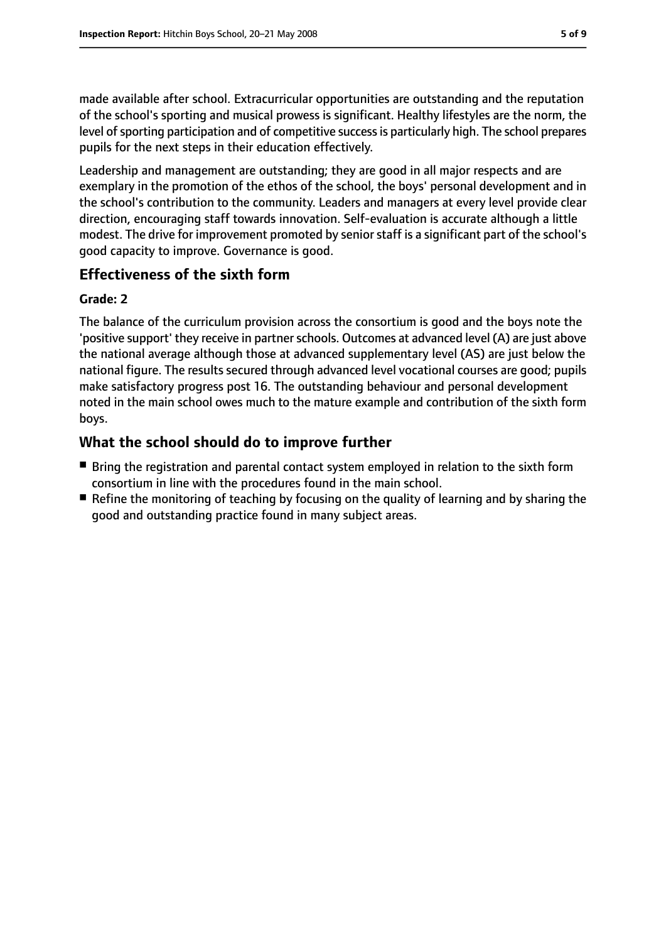made available after school. Extracurricular opportunities are outstanding and the reputation of the school's sporting and musical prowess is significant. Healthy lifestyles are the norm, the level of sporting participation and of competitive success is particularly high. The school prepares pupils for the next steps in their education effectively.

Leadership and management are outstanding; they are good in all major respects and are exemplary in the promotion of the ethos of the school, the boys' personal development and in the school's contribution to the community. Leaders and managers at every level provide clear direction, encouraging staff towards innovation. Self-evaluation is accurate although a little modest. The drive for improvement promoted by senior staff is a significant part of the school's good capacity to improve. Governance is good.

## **Effectiveness of the sixth form**

#### **Grade: 2**

The balance of the curriculum provision across the consortium is good and the boys note the 'positive support' they receive in partner schools. Outcomes at advanced level (A) are just above the national average although those at advanced supplementary level (AS) are just below the national figure. The results secured through advanced level vocational courses are good; pupils make satisfactory progress post 16. The outstanding behaviour and personal development noted in the main school owes much to the mature example and contribution of the sixth form boys.

## **What the school should do to improve further**

- Bring the registration and parental contact system employed in relation to the sixth form consortium in line with the procedures found in the main school.
- Refine the monitoring of teaching by focusing on the quality of learning and by sharing the good and outstanding practice found in many subject areas.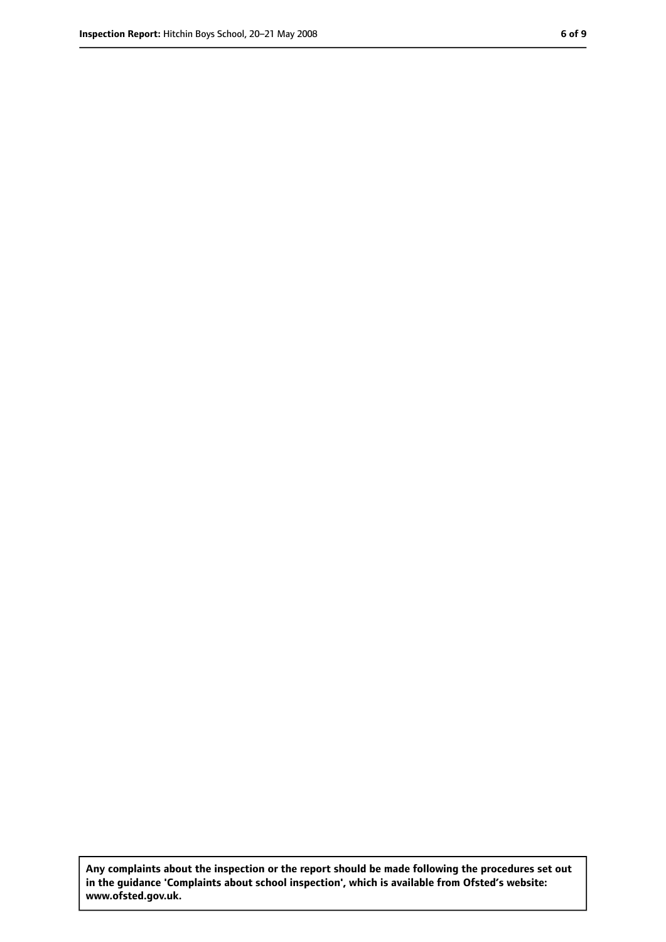**Any complaints about the inspection or the report should be made following the procedures set out in the guidance 'Complaints about school inspection', which is available from Ofsted's website: www.ofsted.gov.uk.**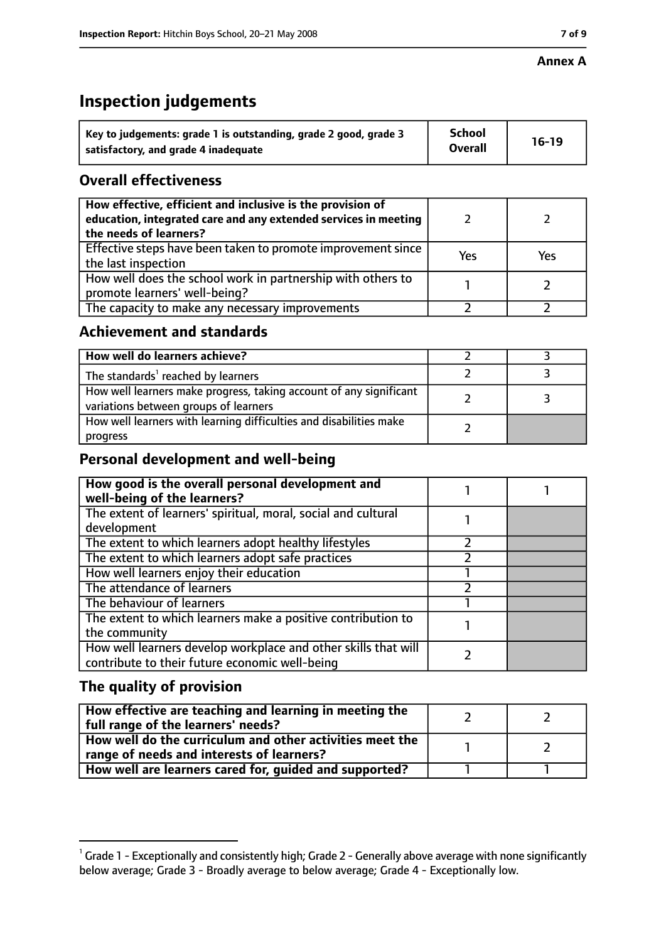#### **Annex A**

# **Inspection judgements**

| Key to judgements: grade 1 is outstanding, grade 2 good, grade 3 | <b>School</b>  | $16-19$ |
|------------------------------------------------------------------|----------------|---------|
| satisfactory, and grade 4 inadequate                             | <b>Overall</b> |         |

## **Overall effectiveness**

| How effective, efficient and inclusive is the provision of<br>education, integrated care and any extended services in meeting<br>the needs of learners? |     |     |
|---------------------------------------------------------------------------------------------------------------------------------------------------------|-----|-----|
| Effective steps have been taken to promote improvement since<br>the last inspection                                                                     | Yes | Yes |
| How well does the school work in partnership with others to<br>promote learners' well-being?                                                            |     |     |
| The capacity to make any necessary improvements                                                                                                         |     |     |

## **Achievement and standards**

| How well do learners achieve?                                                                               |  |
|-------------------------------------------------------------------------------------------------------------|--|
| The standards <sup>1</sup> reached by learners                                                              |  |
| How well learners make progress, taking account of any significant<br>variations between groups of learners |  |
| How well learners with learning difficulties and disabilities make<br>progress                              |  |

## **Personal development and well-being**

| How good is the overall personal development and<br>well-being of the learners?                                  |  |
|------------------------------------------------------------------------------------------------------------------|--|
| The extent of learners' spiritual, moral, social and cultural                                                    |  |
| development                                                                                                      |  |
| The extent to which learners adopt healthy lifestyles                                                            |  |
| The extent to which learners adopt safe practices                                                                |  |
| How well learners enjoy their education                                                                          |  |
| The attendance of learners                                                                                       |  |
| The behaviour of learners                                                                                        |  |
| The extent to which learners make a positive contribution to                                                     |  |
| the community                                                                                                    |  |
| How well learners develop workplace and other skills that will<br>contribute to their future economic well-being |  |

## **The quality of provision**

| How effective are teaching and learning in meeting the<br>full range of the learners' needs?          |  |
|-------------------------------------------------------------------------------------------------------|--|
| How well do the curriculum and other activities meet the<br>range of needs and interests of learners? |  |
| How well are learners cared for, guided and supported?                                                |  |

 $^1$  Grade 1 - Exceptionally and consistently high; Grade 2 - Generally above average with none significantly below average; Grade 3 - Broadly average to below average; Grade 4 - Exceptionally low.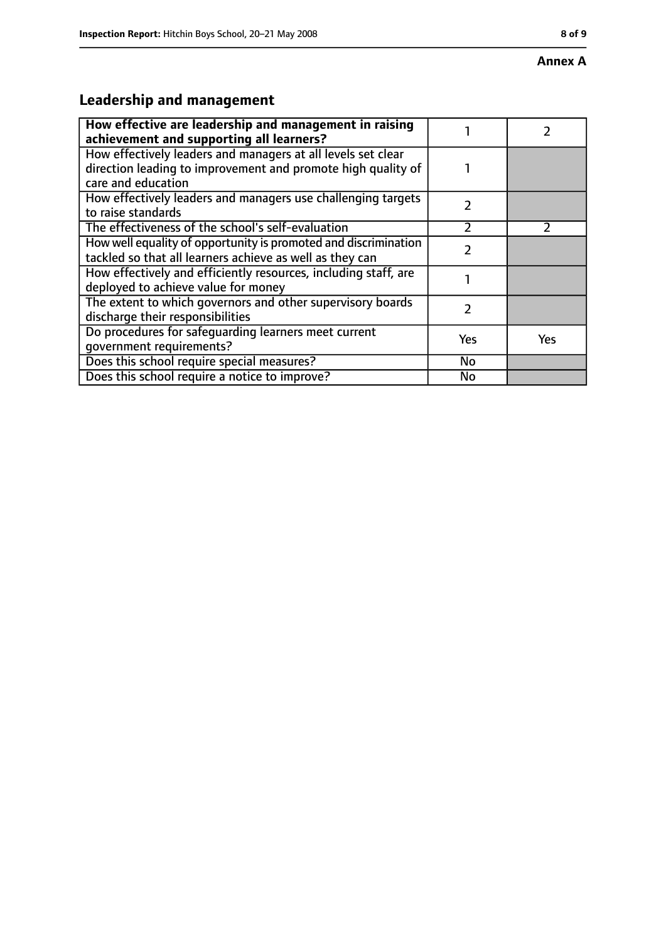#### **Annex A**

# **Leadership and management**

| How effective are leadership and management in raising<br>achievement and supporting all learners?                                                 |               |               |
|----------------------------------------------------------------------------------------------------------------------------------------------------|---------------|---------------|
| How effectively leaders and managers at all levels set clear<br>direction leading to improvement and promote high quality of<br>care and education |               |               |
| How effectively leaders and managers use challenging targets<br>to raise standards                                                                 | $\mathcal{P}$ |               |
| The effectiveness of the school's self-evaluation                                                                                                  | フ             | $\mathcal{P}$ |
| How well equality of opportunity is promoted and discrimination<br>tackled so that all learners achieve as well as they can                        |               |               |
| How effectively and efficiently resources, including staff, are<br>deployed to achieve value for money                                             |               |               |
| The extent to which governors and other supervisory boards<br>discharge their responsibilities                                                     | 7             |               |
| Do procedures for safequarding learners meet current<br>qovernment requirements?                                                                   | Yes           | Yes           |
| Does this school require special measures?                                                                                                         | No            |               |
| Does this school require a notice to improve?                                                                                                      | No            |               |